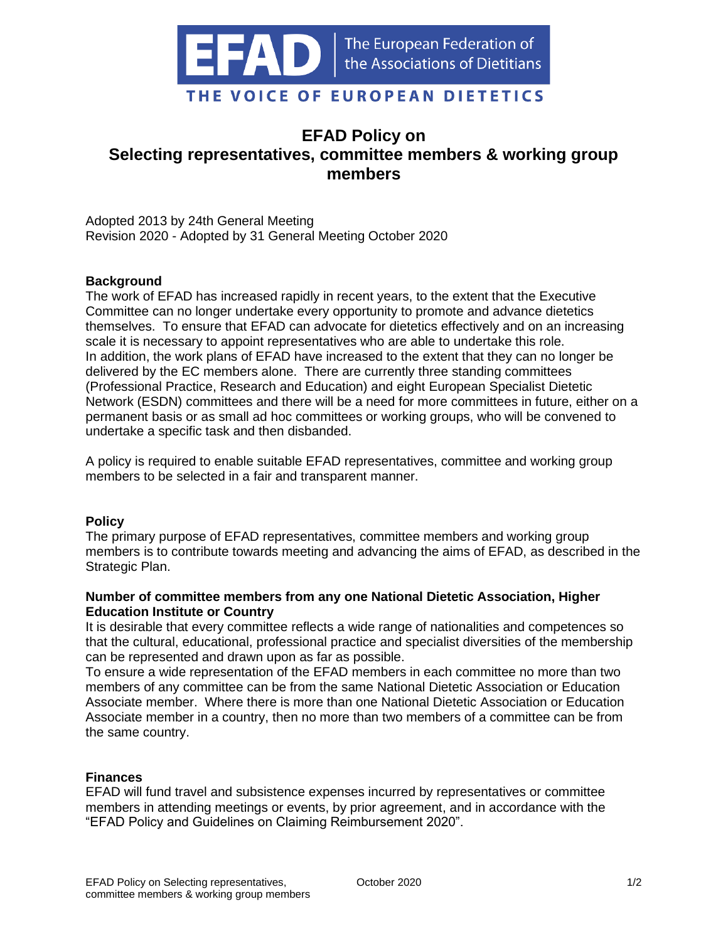

# **EFAD Policy on Selecting representatives, committee members & working group members**

Adopted 2013 by 24th General Meeting Revision 2020 - Adopted by 31 General Meeting October 2020

# **Background**

The work of EFAD has increased rapidly in recent years, to the extent that the Executive Committee can no longer undertake every opportunity to promote and advance dietetics themselves. To ensure that EFAD can advocate for dietetics effectively and on an increasing scale it is necessary to appoint representatives who are able to undertake this role. In addition, the work plans of EFAD have increased to the extent that they can no longer be delivered by the EC members alone. There are currently three standing committees (Professional Practice, Research and Education) and eight European Specialist Dietetic Network (ESDN) committees and there will be a need for more committees in future, either on a permanent basis or as small ad hoc committees or working groups, who will be convened to undertake a specific task and then disbanded.

A policy is required to enable suitable EFAD representatives, committee and working group members to be selected in a fair and transparent manner.

#### **Policy**

The primary purpose of EFAD representatives, committee members and working group members is to contribute towards meeting and advancing the aims of EFAD, as described in the Strategic Plan.

# **Number of committee members from any one National Dietetic Association, Higher Education Institute or Country**

It is desirable that every committee reflects a wide range of nationalities and competences so that the cultural, educational, professional practice and specialist diversities of the membership can be represented and drawn upon as far as possible.

To ensure a wide representation of the EFAD members in each committee no more than two members of any committee can be from the same National Dietetic Association or Education Associate member. Where there is more than one National Dietetic Association or Education Associate member in a country, then no more than two members of a committee can be from the same country.

#### **Finances**

EFAD will fund travel and subsistence expenses incurred by representatives or committee members in attending meetings or events, by prior agreement, and in accordance with the "EFAD Policy and Guidelines on Claiming Reimbursement 2020".